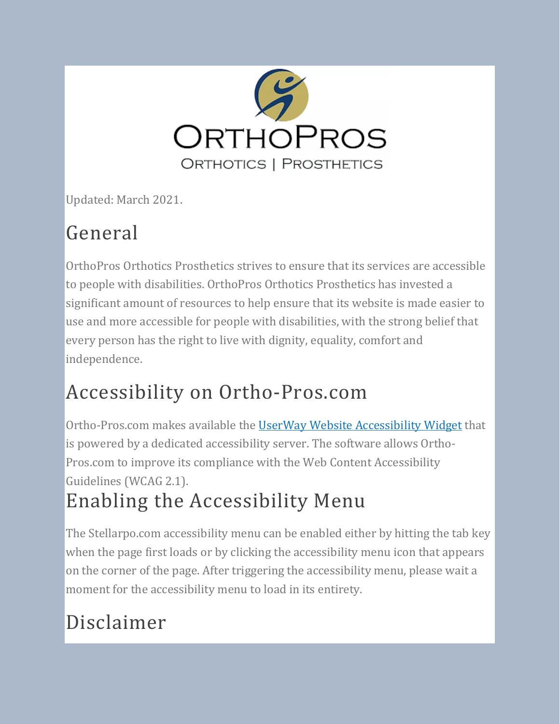

Updated: March 2021.

## General

OrthoPros Orthotics Prosthetics strives to ensure that its services are accessible to people with disabilities. OrthoPros Orthotics Prosthetics has invested a significant amount of resources to help ensure that its website is made easier to use and more accessible for people with disabilities, with the strong belief that every person has the right to live with dignity, equality, comfort and independence.

## Accessibility on Ortho-Pros.com

Ortho-Pros.com makes available the UserWay Website [Accessibility](https://userway.org/) Widget that is powered by a dedicated accessibility server. The software allows Ortho-Pros.com to improve its compliance with the Web Content Accessibility Guidelines (WCAG 2.1). Enabling the Accessibility Menu

The Stellarpo.com accessibility menu can be enabled either by hitting the tab key when the page first loads or by clicking the accessibility menu icon that appears on the corner of the page. After triggering the accessibility menu, please wait a moment for the accessibility menu to load in its entirety.

# Disclaimer